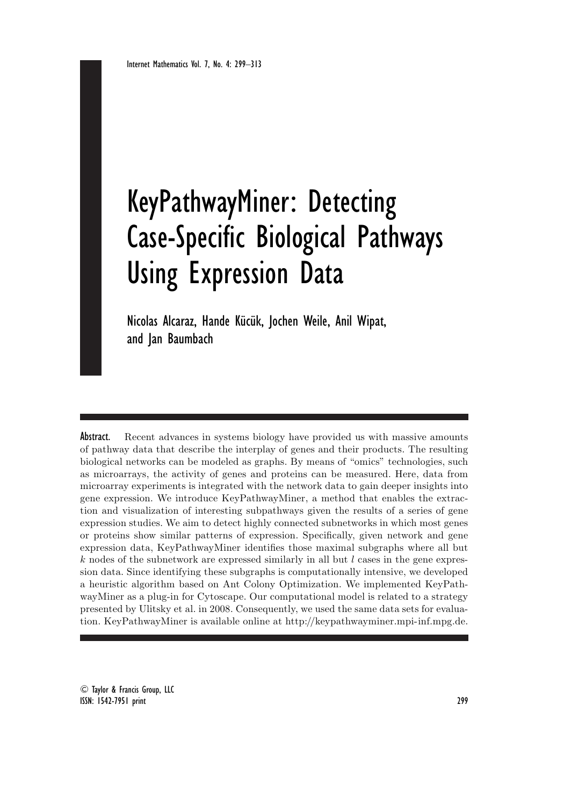# KeyPathwayMiner: Detecting Case-Specific Biological Pathways Using Expression Data

Nicolas Alcaraz, Hande Kücük, Jochen Weile, Anil Wipat, and Jan Baumbach

Abstract. Recent advances in systems biology have provided us with massive amounts of pathway data that describe the interplay of genes and their products. The resulting biological networks can be modeled as graphs. By means of "omics" technologies, such as microarrays, the activity of genes and proteins can be measured. Here, data from microarray experiments is integrated with the network data to gain deeper insights into gene expression. We introduce KeyPathwayMiner, a method that enables the extraction and visualization of interesting subpathways given the results of a series of gene expression studies. We aim to detect highly connected subnetworks in which most genes or proteins show similar patterns of expression. Specifically, given network and gene expression data, KeyPathwayMiner identifies those maximal subgraphs where all but  $k$  nodes of the subnetwork are expressed similarly in all but  $l$  cases in the gene expression data. Since identifying these subgraphs is computationally intensive, we developed a heuristic algorithm based on Ant Colony Optimization. We implemented KeyPathwayMiner as a plug-in for Cytoscape. Our computational model is related to a strategy presented by Ulitsky et al. in 2008. Consequently, we used the same data sets for evaluation. KeyPathwayMiner is available online at http://keypathwayminer.mpi-inf.mpg.de.

<sup>C</sup> Taylor & Francis Group, LLC ISSN: 1542-7951 print 299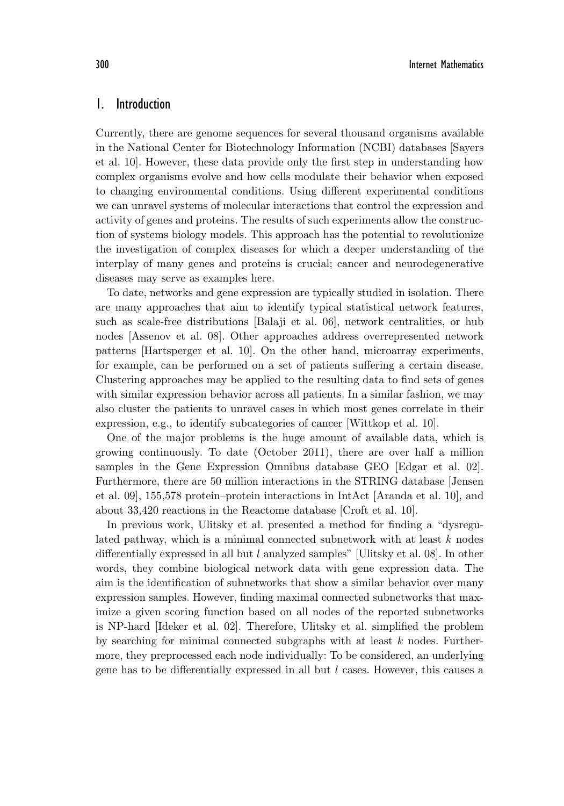# 1. Introduction

Currently, there are genome sequences for several thousand organisms available in the National Center for Biotechnology Information (NCBI) databases [Sayers et al. 10]. However, these data provide only the first step in understanding how complex organisms evolve and how cells modulate their behavior when exposed to changing environmental conditions. Using different experimental conditions we can unravel systems of molecular interactions that control the expression and activity of genes and proteins. The results of such experiments allow the construction of systems biology models. This approach has the potential to revolutionize the investigation of complex diseases for which a deeper understanding of the interplay of many genes and proteins is crucial; cancer and neurodegenerative diseases may serve as examples here.

To date, networks and gene expression are typically studied in isolation. There are many approaches that aim to identify typical statistical network features, such as scale-free distributions [Balaji et al. 06], network centralities, or hub nodes [Assenov et al. 08]. Other approaches address overrepresented network patterns [Hartsperger et al. 10]. On the other hand, microarray experiments, for example, can be performed on a set of patients suffering a certain disease. Clustering approaches may be applied to the resulting data to find sets of genes with similar expression behavior across all patients. In a similar fashion, we may also cluster the patients to unravel cases in which most genes correlate in their expression, e.g., to identify subcategories of cancer [Wittkop et al. 10].

One of the major problems is the huge amount of available data, which is growing continuously. To date (October 2011), there are over half a million samples in the Gene Expression Omnibus database GEO [Edgar et al. 02]. Furthermore, there are 50 million interactions in the STRING database [Jensen et al. 09], 155,578 protein–protein interactions in IntAct [Aranda et al. 10], and about 33,420 reactions in the Reactome database [Croft et al. 10].

In previous work, Ulitsky et al. presented a method for finding a "dysregulated pathway, which is a minimal connected subnetwork with at least  $k$  nodes differentially expressed in all but l analyzed samples" [Ulitsky et al. 08]. In other words, they combine biological network data with gene expression data. The aim is the identification of subnetworks that show a similar behavior over many expression samples. However, finding maximal connected subnetworks that maximize a given scoring function based on all nodes of the reported subnetworks is NP-hard [Ideker et al. 02]. Therefore, Ulitsky et al. simplified the problem by searching for minimal connected subgraphs with at least  $k$  nodes. Furthermore, they preprocessed each node individually: To be considered, an underlying gene has to be differentially expressed in all but  $l$  cases. However, this causes a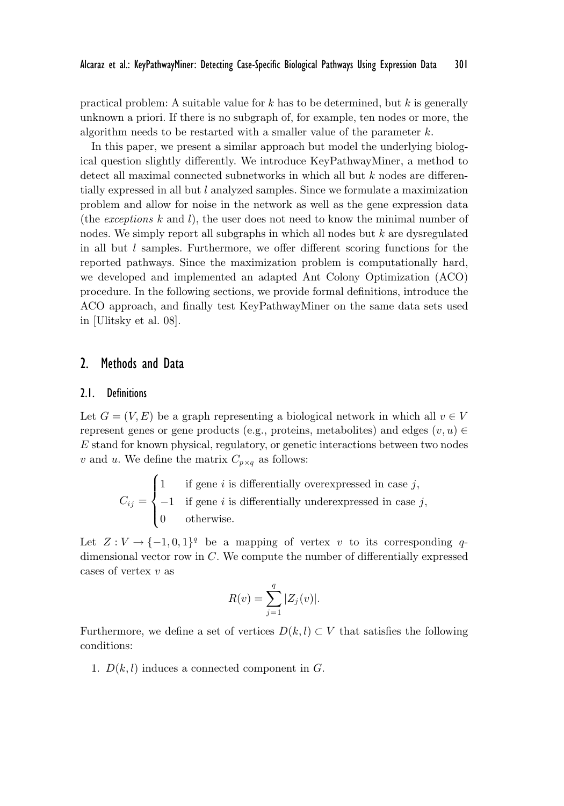practical problem: A suitable value for  $k$  has to be determined, but  $k$  is generally unknown a priori. If there is no subgraph of, for example, ten nodes or more, the algorithm needs to be restarted with a smaller value of the parameter  $k$ .

In this paper, we present a similar approach but model the underlying biological question slightly differently. We introduce KeyPathwayMiner, a method to detect all maximal connected subnetworks in which all but k nodes are differentially expressed in all but l analyzed samples. Since we formulate a maximization problem and allow for noise in the network as well as the gene expression data (the *exceptions* k and l), the user does not need to know the minimal number of nodes. We simply report all subgraphs in which all nodes but  $k$  are dysregulated in all but  $l$  samples. Furthermore, we offer different scoring functions for the reported pathways. Since the maximization problem is computationally hard, we developed and implemented an adapted Ant Colony Optimization (ACO) procedure. In the following sections, we provide formal definitions, introduce the ACO approach, and finally test KeyPathwayMiner on the same data sets used in [Ulitsky et al. 08].

## 2. Methods and Data

#### 2.1. Definitions

Let  $G = (V, E)$  be a graph representing a biological network in which all  $v \in V$ represent genes or gene products (e.g., proteins, metabolites) and edges  $(v, u) \in$ E stand for known physical, regulatory, or genetic interactions between two nodes v and u. We define the matrix  $C_{p \times q}$  as follows:

 $C_{ij} =$  $\sqrt{ }$  $\int$  $\overline{\mathcal{N}}$ 1 if gene i is differentially overexpressed in case  $j$ ,  $-1$  if gene i is differentially underexpressed in case j, 0 otherwise.

Let  $Z: V \to \{-1,0,1\}^q$  be a mapping of vertex v to its corresponding qdimensional vector row in C. We compute the number of differentially expressed cases of vertex v as

$$
R(v) = \sum_{j=1}^{q} |Z_j(v)|.
$$

Furthermore, we define a set of vertices  $D(k, l) \subset V$  that satisfies the following conditions:

1.  $D(k, l)$  induces a connected component in  $G$ .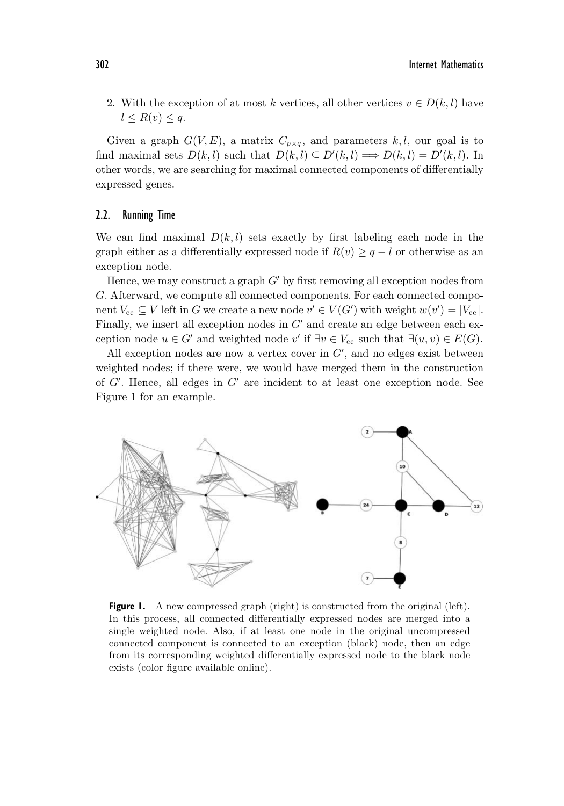2. With the exception of at most k vertices, all other vertices  $v \in D(k, l)$  have  $l \leq R(v) \leq q.$ 

Given a graph  $G(V, E)$ , a matrix  $C_{p \times q}$ , and parameters k,l, our goal is to find maximal sets  $D(k, l)$  such that  $D(k, l) \subseteq D'(k, l) \Longrightarrow D(k, l) = D'(k, l)$ . In other words, we are searching for maximal connected components of differentially expressed genes.

#### 2.2. Running Time

We can find maximal  $D(k, l)$  sets exactly by first labeling each node in the graph either as a differentially expressed node if  $R(v) \geq q - l$  or otherwise as an exception node.

Hence, we may construct a graph  $G'$  by first removing all exception nodes from G. Afterward, we compute all connected components. For each connected component  $V_{\text{cc}} \subseteq V$  left in G we create a new node  $v' \in V(G')$  with weight  $w(v') = |V_{\text{cc}}|$ . Finally, we insert all exception nodes in  $G'$  and create an edge between each exception node  $u \in G'$  and weighted node v' if  $\exists v \in V_{cc}$  such that  $\exists (u, v) \in E(G)$ .

All exception nodes are now a vertex cover in  $G'$ , and no edges exist between weighted nodes; if there were, we would have merged them in the construction of  $G'$ . Hence, all edges in  $G'$  are incident to at least one exception node. See Figure 1 for an example.



**Figure 1.** A new compressed graph (right) is constructed from the original (left). In this process, all connected differentially expressed nodes are merged into a single weighted node. Also, if at least one node in the original uncompressed connected component is connected to an exception (black) node, then an edge from its corresponding weighted differentially expressed node to the black node exists (color figure available online).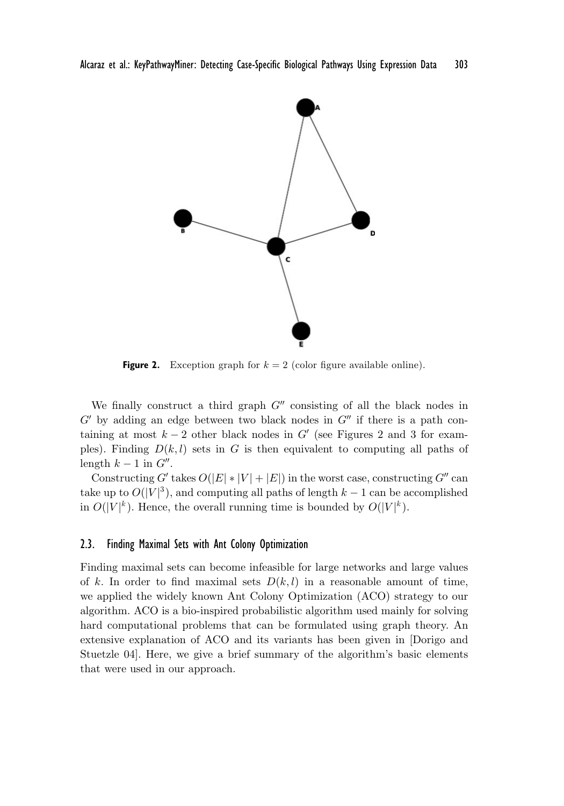

**Figure 2.** Exception graph for  $k = 2$  (color figure available online).

We finally construct a third graph  $G''$  consisting of all the black nodes in  $G'$  by adding an edge between two black nodes in  $G''$  if there is a path containing at most  $k-2$  other black nodes in G' (see Figures 2 and 3 for examples). Finding  $D(k, l)$  sets in G is then equivalent to computing all paths of length  $k-1$  in  $G''$ .

Constructing G' takes  $O(|E| * |V| + |E|)$  in the worst case, constructing G" can take up to  $O(|V|^3)$ , and computing all paths of length  $k-1$  can be accomplished in  $O(|V|^k)$ . Hence, the overall running time is bounded by  $O(|V|^k)$ .

### 2.3. Finding Maximal Sets with Ant Colony Optimization

Finding maximal sets can become infeasible for large networks and large values of k. In order to find maximal sets  $D(k, l)$  in a reasonable amount of time, we applied the widely known Ant Colony Optimization (ACO) strategy to our algorithm. ACO is a bio-inspired probabilistic algorithm used mainly for solving hard computational problems that can be formulated using graph theory. An extensive explanation of ACO and its variants has been given in [Dorigo and Stuetzle 04]. Here, we give a brief summary of the algorithm's basic elements that were used in our approach.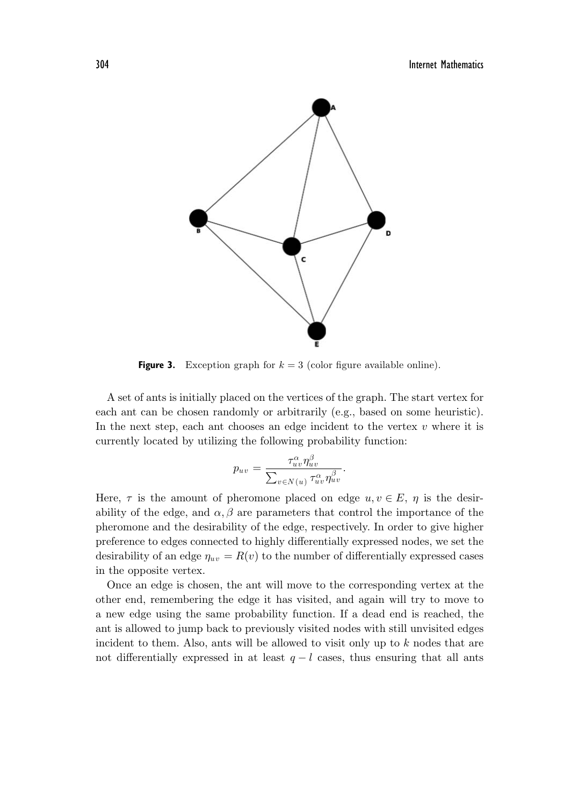

**Figure 3.** Exception graph for  $k = 3$  (color figure available online).

A set of ants is initially placed on the vertices of the graph. The start vertex for each ant can be chosen randomly or arbitrarily (e.g., based on some heuristic). In the next step, each ant chooses an edge incident to the vertex  $v$  where it is currently located by utilizing the following probability function:

$$
p_{uv} = \frac{\tau_{uv}^{\alpha} \eta_{uv}^{\beta}}{\sum_{v \in N(u)} \tau_{uv}^{\alpha} \eta_{uv}^{\beta}}.
$$

Here,  $\tau$  is the amount of pheromone placed on edge  $u, v \in E$ ,  $\eta$  is the desirability of the edge, and  $\alpha, \beta$  are parameters that control the importance of the pheromone and the desirability of the edge, respectively. In order to give higher preference to edges connected to highly differentially expressed nodes, we set the desirability of an edge  $\eta_{uv} = R(v)$  to the number of differentially expressed cases in the opposite vertex.

Once an edge is chosen, the ant will move to the corresponding vertex at the other end, remembering the edge it has visited, and again will try to move to a new edge using the same probability function. If a dead end is reached, the ant is allowed to jump back to previously visited nodes with still unvisited edges incident to them. Also, ants will be allowed to visit only up to  $k$  nodes that are not differentially expressed in at least  $q - l$  cases, thus ensuring that all ants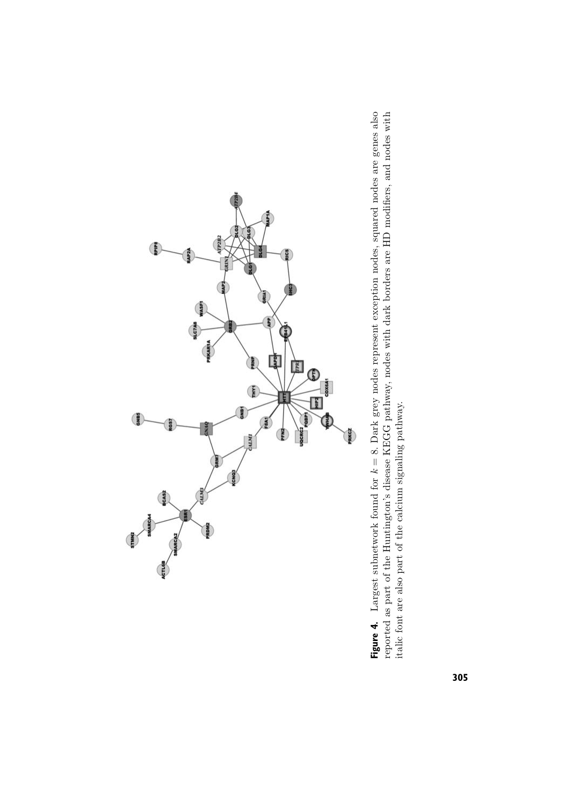

**Figure 4.** Largest subnetwork found for  $k = 8$ . Dark grey nodes represent exception nodes, squared nodes are genes also reported as part of the Huntington's disease KEGG pathway, nodes with dark borders are HD modifiers, **Figure 4.** Largest subnetwork found for k = 8. Dark grey nodes represent exception nodes, squared nodes are genes also reported as part of the Huntington's disease KEGG pathway, nodes with dark borders are HD modifiers, and nodes with italic font are also part of the calcium signaling pathway.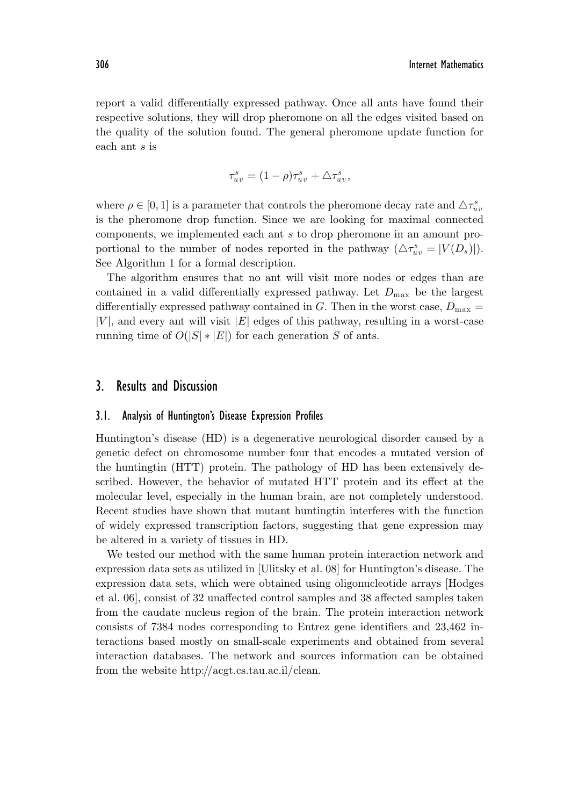report a valid differentially expressed pathway. Once all ants have found their respective solutions, they will drop pheromone on all the edges visited based on the quality of the solution found. The general pheromone update function for each ant s is

$$
\tau_{uv}^s = (1 - \rho)\tau_{uv}^s + \Delta \tau_{uv}^s,
$$

where  $\rho \in [0, 1]$  is a parameter that controls the pheromone decay rate and  $\triangle \tau_{uv}^s$ is the pheromone drop function. Since we are looking for maximal connected components, we implemented each ant s to drop pheromone in an amount proportional to the number of nodes reported in the pathway  $(\triangle \tau_{uv}^s = |V(D_s)|)$ . See Algorithm 1 for a formal description.

The algorithm ensures that no ant will visit more nodes or edges than are contained in a valid differentially expressed pathway. Let  $D_{\text{max}}$  be the largest differentially expressed pathway contained in G. Then in the worst case,  $D_{\text{max}} =$  $|V|$ , and every ant will visit  $|E|$  edges of this pathway, resulting in a worst-case running time of  $O(|S| * |E|)$  for each generation S of ants.

# 3. Results and Discussion

## 3.1. Analysis of Huntington's Disease Expression Profiles

Huntington's disease (HD) is a degenerative neurological disorder caused by a genetic defect on chromosome number four that encodes a mutated version of the huntingtin (HTT) protein. The pathology of HD has been extensively described. However, the behavior of mutated HTT protein and its effect at the molecular level, especially in the human brain, are not completely understood. Recent studies have shown that mutant huntingtin interferes with the function of widely expressed transcription factors, suggesting that gene expression may be altered in a variety of tissues in HD.

We tested our method with the same human protein interaction network and expression data sets as utilized in [Ulitsky et al. 08] for Huntington's disease. The expression data sets, which were obtained using oligonucleotide arrays [Hodges et al. 06], consist of 32 unaffected control samples and 38 affected samples taken from the caudate nucleus region of the brain. The protein interaction network consists of 7384 nodes corresponding to Entrez gene identifiers and 23,462 interactions based mostly on small-scale experiments and obtained from several interaction databases. The network and sources information can be obtained from the website http://acgt.cs.tau.ac.il/clean.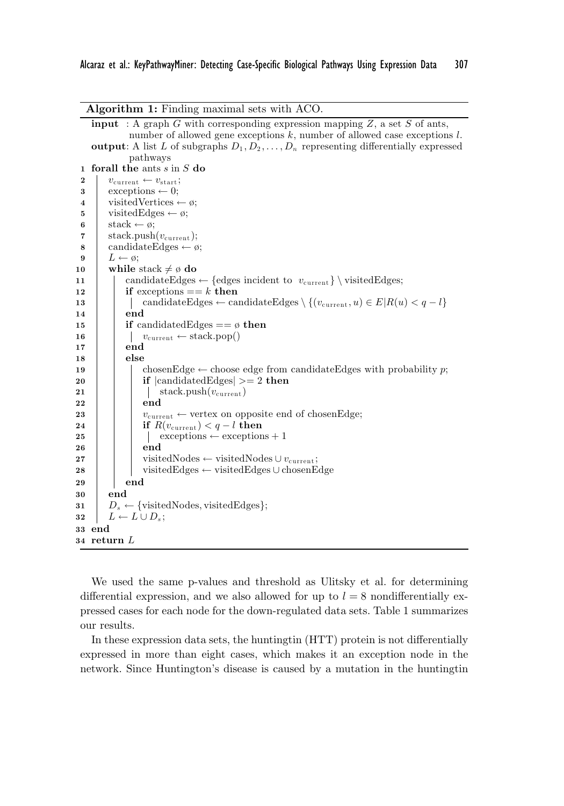| <b>Algorithm 1:</b> Finding maximal sets with ACO.                                                            |  |  |  |  |  |
|---------------------------------------------------------------------------------------------------------------|--|--|--|--|--|
| <b>input</b> : A graph G with corresponding expression mapping $Z$ , a set S of ants,                         |  |  |  |  |  |
| number of allowed gene exceptions $k$ , number of allowed case exceptions $l$ .                               |  |  |  |  |  |
| <b>output:</b> A list L of subgraphs $D_1, D_2, \ldots, D_n$ representing differentially expressed            |  |  |  |  |  |
| pathways                                                                                                      |  |  |  |  |  |
| for all the ants $s$ in $S$ do<br>1                                                                           |  |  |  |  |  |
| $\boldsymbol{2}$<br>$v_{\text{current}} \leftarrow v_{\text{start}};$<br>3                                    |  |  |  |  |  |
| $exceptions \leftarrow 0;$                                                                                    |  |  |  |  |  |
| visited Vertices $\leftarrow \emptyset$ ;                                                                     |  |  |  |  |  |
| visited Edges $\leftarrow \emptyset$ ;<br>stack $\leftarrow \emptyset$ ;                                      |  |  |  |  |  |
| 6<br>$stack. push(v_{current});$<br>7                                                                         |  |  |  |  |  |
| candidateEdges $\leftarrow \varnothing$ ;                                                                     |  |  |  |  |  |
| 8<br>$L \leftarrow \emptyset;$<br>9                                                                           |  |  |  |  |  |
| while stack $\neq \emptyset$ do<br>10                                                                         |  |  |  |  |  |
| candidateEdges $\leftarrow$ {edges incident to $v_{\text{current}}$ } \ visitedEdges;<br>11                   |  |  |  |  |  |
| if exceptions $== k$ then<br>12                                                                               |  |  |  |  |  |
| candidateEdges $\leftarrow$ candidateEdges $\setminus \{(v_{\text{current}}, u) \in E   R(u) < q - l\}$<br>13 |  |  |  |  |  |
| end<br>14                                                                                                     |  |  |  |  |  |
| <b>if</b> candidated Edges $== \emptyset$ then<br>15                                                          |  |  |  |  |  |
| $v_{\text{current}} \leftarrow \text{stack.pop}()$<br>16                                                      |  |  |  |  |  |
| end<br>17                                                                                                     |  |  |  |  |  |
| else<br>18                                                                                                    |  |  |  |  |  |
| chosenEdge $\leftarrow$ choose edge from candidateEdges with probability p;<br>19                             |  |  |  |  |  |
| if $ {\rm candidate}$ dges $ >=2$ then<br>20                                                                  |  |  |  |  |  |
| stack.push $(v_{\text{current}})$<br>21                                                                       |  |  |  |  |  |
| end<br>22                                                                                                     |  |  |  |  |  |
| $v_{\text{current}} \leftarrow$ vertex on opposite end of chosen Edge;<br>23                                  |  |  |  |  |  |
| if $R(v_{\text{current}}) < q - l$ then<br>24<br>$exceptions \leftarrow exceptions + 1$<br>$^{25}$            |  |  |  |  |  |
| end<br>26                                                                                                     |  |  |  |  |  |
| visitedNodes $\leftarrow$ visitedNodes $\cup v_{\text{current}}$ ;<br>27                                      |  |  |  |  |  |
| visitedEdges $\leftarrow$ visitedEdges $\cup$ chosenEdge<br>28                                                |  |  |  |  |  |
| end<br>29                                                                                                     |  |  |  |  |  |
| end<br>30                                                                                                     |  |  |  |  |  |
| $D_s \leftarrow \{\text{visitedNodes}, \text{visitedEdges}\};$<br>31                                          |  |  |  |  |  |
| $L \leftarrow L \cup D_s;$<br>32                                                                              |  |  |  |  |  |
| 33 end                                                                                                        |  |  |  |  |  |
| $34$ return $L$                                                                                               |  |  |  |  |  |
|                                                                                                               |  |  |  |  |  |

We used the same p-values and threshold as Ulitsky et al. for determining differential expression, and we also allowed for up to  $l = 8$  nondifferentially expressed cases for each node for the down-regulated data sets. Table 1 summarizes our results.

In these expression data sets, the huntingtin (HTT) protein is not differentially expressed in more than eight cases, which makes it an exception node in the network. Since Huntington's disease is caused by a mutation in the huntingtin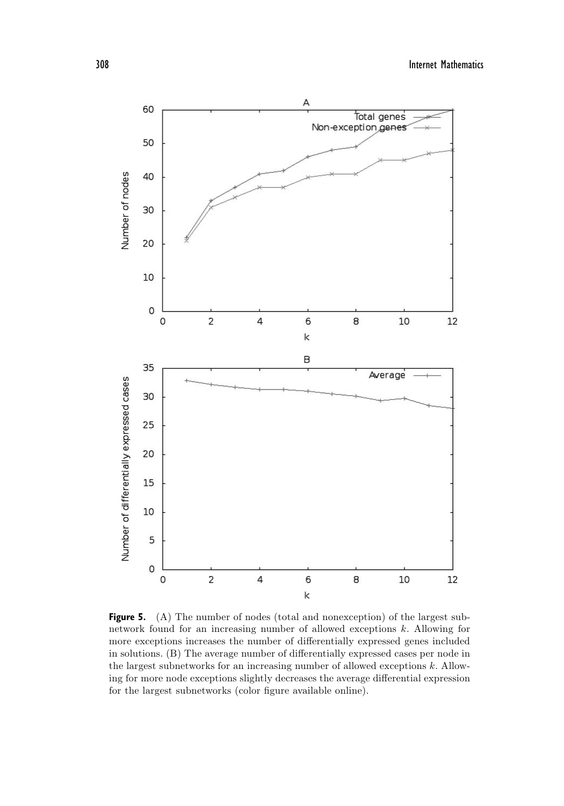

**Figure 5.** (A) The number of nodes (total and nonexception) of the largest subnetwork found for an increasing number of allowed exceptions k. Allowing for more exceptions increases the number of differentially expressed genes included in solutions. (B) The average number of differentially expressed cases per node in the largest subnetworks for an increasing number of allowed exceptions k. Allowing for more node exceptions slightly decreases the average differential expression for the largest subnetworks (color figure available online).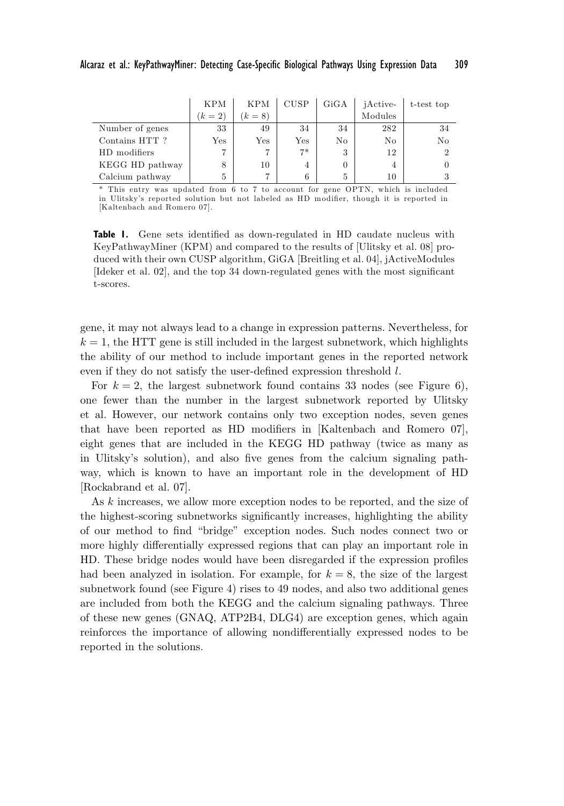|                 | <b>KPM</b> | <b>KPM</b>   | <b>CUSP</b>  | GiGA | <i>iActive-</i> | t-test top     |
|-----------------|------------|--------------|--------------|------|-----------------|----------------|
|                 | $(k = 2)$  | $(k = 8)$    |              |      | Modules         |                |
| Number of genes | 33         | 49           | 34           | 34   | 282             | 34             |
| Contains HTT?   | Yes        | $_{\rm Yes}$ | $_{\rm Yes}$ | No   | No              | N <sub>o</sub> |
| HD modifiers    |            |              | $7*$         | 3    | 12              |                |
| KEGG HD pathway | 8          | 10           | 4            | 0    | 4               |                |
| Calcium pathway | 5          |              | 6            | 5    | 10              |                |

\* This entry was updated from 6 to 7 to account for gene OPTN, which is included in Ulitsky's reported solution but not labeled as HD modifier, though it is reported in [Kaltenbach and Romero 07].

**Table 1.** Gene sets identified as down-regulated in HD caudate nucleus with KeyPathwayMiner (KPM) and compared to the results of [Ulitsky et al. 08] produced with their own CUSP algorithm, GiGA [Breitling et al. 04], jActiveModules [Ideker et al. 02], and the top 34 down-regulated genes with the most significant t-scores.

gene, it may not always lead to a change in expression patterns. Nevertheless, for  $k = 1$ , the HTT gene is still included in the largest subnetwork, which highlights the ability of our method to include important genes in the reported network even if they do not satisfy the user-defined expression threshold l.

For  $k = 2$ , the largest subnetwork found contains 33 nodes (see Figure 6), one fewer than the number in the largest subnetwork reported by Ulitsky et al. However, our network contains only two exception nodes, seven genes that have been reported as HD modifiers in [Kaltenbach and Romero 07], eight genes that are included in the KEGG HD pathway (twice as many as in Ulitsky's solution), and also five genes from the calcium signaling pathway, which is known to have an important role in the development of HD [Rockabrand et al. 07].

As k increases, we allow more exception nodes to be reported, and the size of the highest-scoring subnetworks significantly increases, highlighting the ability of our method to find "bridge" exception nodes. Such nodes connect two or more highly differentially expressed regions that can play an important role in HD. These bridge nodes would have been disregarded if the expression profiles had been analyzed in isolation. For example, for  $k = 8$ , the size of the largest subnetwork found (see Figure 4) rises to 49 nodes, and also two additional genes are included from both the KEGG and the calcium signaling pathways. Three of these new genes (GNAQ, ATP2B4, DLG4) are exception genes, which again reinforces the importance of allowing nondifferentially expressed nodes to be reported in the solutions.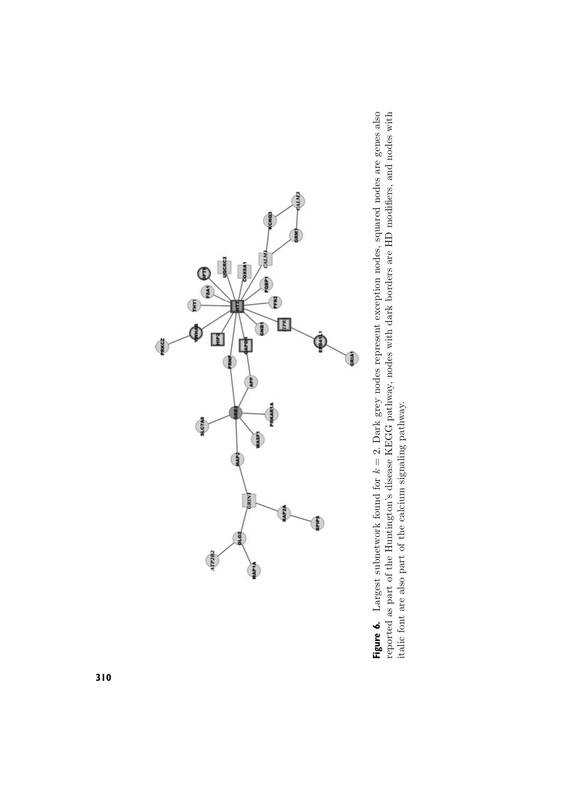

**Figure 6.** Largest subnetwork found for  $k = 2$ . Dark grey nodes represent exception nodes, squared nodes are genes also reported as part of the Huntington's disease KEGG pathway, nodes with dark borders are HD modifiers, **Figure 6.** Largest subnetwork found for k = 2. Dark grey nodes represent exception nodes, squared nodes are genes also reported as part of the Huntington's disease KEGG pathway, nodes with dark borders are HD modifiers, and nodes with italic font are also part of the calcium signaling pathway.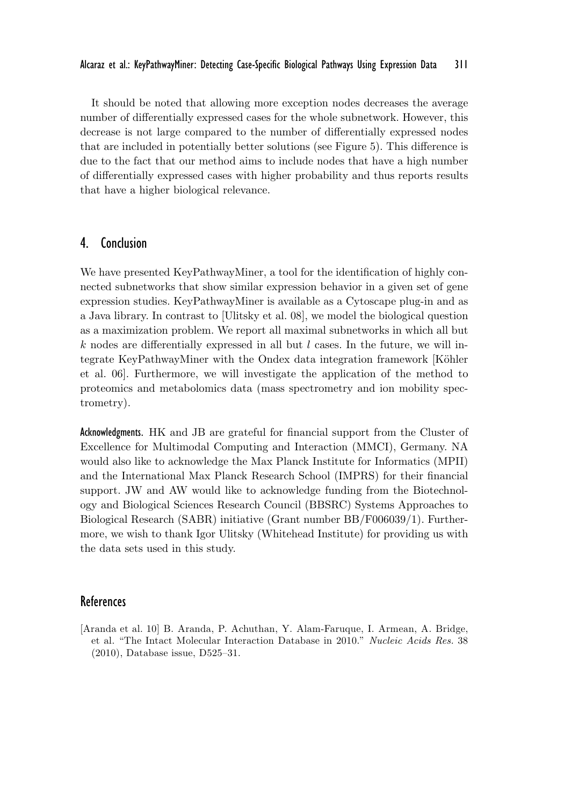It should be noted that allowing more exception nodes decreases the average number of differentially expressed cases for the whole subnetwork. However, this decrease is not large compared to the number of differentially expressed nodes that are included in potentially better solutions (see Figure 5). This difference is due to the fact that our method aims to include nodes that have a high number of differentially expressed cases with higher probability and thus reports results that have a higher biological relevance.

## 4. Conclusion

We have presented KeyPathwayMiner, a tool for the identification of highly connected subnetworks that show similar expression behavior in a given set of gene expression studies. KeyPathwayMiner is available as a Cytoscape plug-in and as a Java library. In contrast to [Ulitsky et al. 08], we model the biological question as a maximization problem. We report all maximal subnetworks in which all but k nodes are differentially expressed in all but  $l$  cases. In the future, we will integrate KeyPathwayMiner with the Ondex data integration framework [Köhler et al. 06]. Furthermore, we will investigate the application of the method to proteomics and metabolomics data (mass spectrometry and ion mobility spectrometry).

Acknowledgments. HK and JB are grateful for financial support from the Cluster of Excellence for Multimodal Computing and Interaction (MMCI), Germany. NA would also like to acknowledge the Max Planck Institute for Informatics (MPII) and the International Max Planck Research School (IMPRS) for their financial support. JW and AW would like to acknowledge funding from the Biotechnology and Biological Sciences Research Council (BBSRC) Systems Approaches to Biological Research (SABR) initiative (Grant number BB/F006039/1). Furthermore, we wish to thank Igor Ulitsky (Whitehead Institute) for providing us with the data sets used in this study.

## References

[Aranda et al. 10] B. Aranda, P. Achuthan, Y. Alam-Faruque, I. Armean, A. Bridge, et al. "The Intact Molecular Interaction Database in 2010." *Nucleic Acids Res.* 38 (2010), Database issue, D525–31.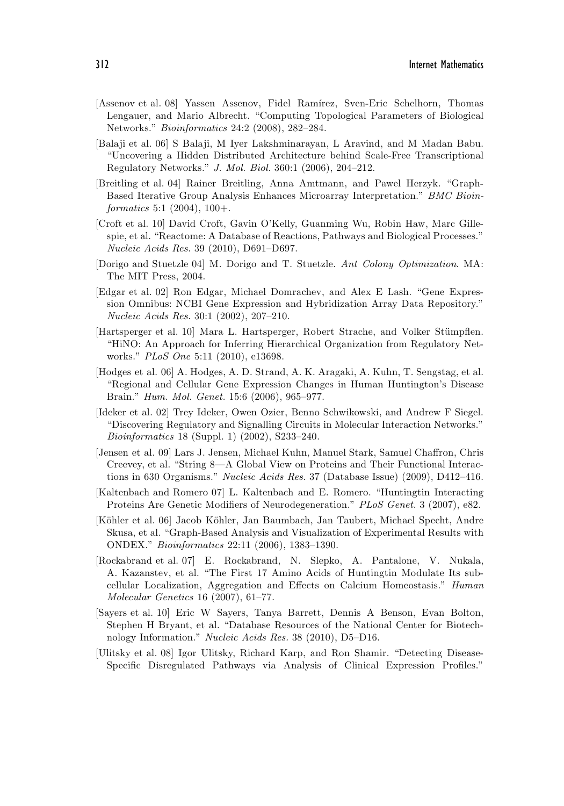- [Assenov et al. 08] Yassen Assenov, Fidel Ramírez, Sven-Eric Schelhorn, Thomas Lengauer, and Mario Albrecht. "Computing Topological Parameters of Biological Networks." *Bioinformatics* 24:2 (2008), 282–284.
- [Balaji et al. 06] S Balaji, M Iyer Lakshminarayan, L Aravind, and M Madan Babu. "Uncovering a Hidden Distributed Architecture behind Scale-Free Transcriptional Regulatory Networks." *J. Mol. Biol.* 360:1 (2006), 204–212.
- [Breitling et al. 04] Rainer Breitling, Anna Amtmann, and Pawel Herzyk. "Graph-Based Iterative Group Analysis Enhances Microarray Interpretation." *BMC Bioinformatics* 5:1 (2004), 100+.
- [Croft et al. 10] David Croft, Gavin O'Kelly, Guanming Wu, Robin Haw, Marc Gillespie, et al. "Reactome: A Database of Reactions, Pathways and Biological Processes." *Nucleic Acids Res.* 39 (2010), D691–D697.
- [Dorigo and Stuetzle 04] M. Dorigo and T. Stuetzle. *Ant Colony Optimization*. MA: The MIT Press, 2004.
- [Edgar et al. 02] Ron Edgar, Michael Domrachev, and Alex E Lash. "Gene Expression Omnibus: NCBI Gene Expression and Hybridization Array Data Repository." *Nucleic Acids Res.* 30:1 (2002), 207–210.
- [Hartsperger et al. 10] Mara L. Hartsperger, Robert Strache, and Volker Stümpflen. "HiNO: An Approach for Inferring Hierarchical Organization from Regulatory Networks." *PLoS One* 5:11 (2010), e13698.
- [Hodges et al. 06] A. Hodges, A. D. Strand, A. K. Aragaki, A. Kuhn, T. Sengstag, et al. "Regional and Cellular Gene Expression Changes in Human Huntington's Disease Brain." *Hum. Mol. Genet.* 15:6 (2006), 965–977.
- [Ideker et al. 02] Trey Ideker, Owen Ozier, Benno Schwikowski, and Andrew F Siegel. "Discovering Regulatory and Signalling Circuits in Molecular Interaction Networks." *Bioinformatics* 18 (Suppl. 1) (2002), S233–240.
- [Jensen et al. 09] Lars J. Jensen, Michael Kuhn, Manuel Stark, Samuel Chaffron, Chris Creevey, et al. "String 8—A Global View on Proteins and Their Functional Interactions in 630 Organisms." *Nucleic Acids Res.* 37 (Database Issue) (2009), D412–416.
- [Kaltenbach and Romero 07] L. Kaltenbach and E. Romero. "Huntingtin Interacting Proteins Are Genetic Modifiers of Neurodegeneration." *PLoS Genet.* 3 (2007), e82.
- [K¨ohler et al. 06] Jacob K¨ohler, Jan Baumbach, Jan Taubert, Michael Specht, Andre Skusa, et al. "Graph-Based Analysis and Visualization of Experimental Results with ONDEX." *Bioinformatics* 22:11 (2006), 1383–1390.
- [Rockabrand et al. 07] E. Rockabrand, N. Slepko, A. Pantalone, V. Nukala, A. Kazanstev, et al. "The First 17 Amino Acids of Huntingtin Modulate Its subcellular Localization, Aggregation and Effects on Calcium Homeostasis." *Human Molecular Genetics* 16 (2007), 61–77.
- [Sayers et al. 10] Eric W Sayers, Tanya Barrett, Dennis A Benson, Evan Bolton, Stephen H Bryant, et al. "Database Resources of the National Center for Biotechnology Information." *Nucleic Acids Res.* 38 (2010), D5–D16.
- [Ulitsky et al. 08] Igor Ulitsky, Richard Karp, and Ron Shamir. "Detecting Disease-Specific Disregulated Pathways via Analysis of Clinical Expression Profiles."